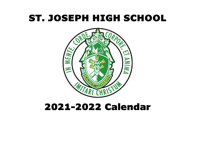# ST. JOSEPH HIGH SCHOOL



#### 2021-2022 Calendar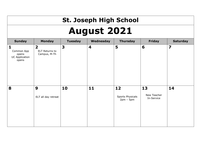## **St. Joseph High School**

## **August 2021**

| <b>Sunday</b>                                              | <b>Monday</b>                                                    | <b>Tuesday</b>          | Wednesday | <b>Thursday</b>                       | <b>Friday</b>                   | <b>Saturday</b>         |
|------------------------------------------------------------|------------------------------------------------------------------|-------------------------|-----------|---------------------------------------|---------------------------------|-------------------------|
| 1<br>Common App<br>opens<br><b>UC Application</b><br>opens | $\overline{\mathbf{2}}$<br><b>ELT Returns to</b><br>Campus, M-Th | $\overline{\mathbf{3}}$ | 4         | 5                                     | 6                               | $\overline{\mathbf{z}}$ |
| 8                                                          | $\boldsymbol{9}$<br>ELT all day retreat                          | 10                      | $11$      | 12<br>Sports Physicals<br>$2pm - 5pm$ | 13<br>New Teacher<br>In-Service | 14                      |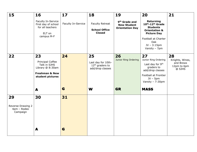| 15                                                 | 16<br>Faculty In-Service<br>First day of school<br>for all teachers<br>ELT on                               | 17<br>Faculty In-Service | 18<br><b>Faculty Retreat</b><br><b>School Office</b><br><b>Closed</b>       | 19<br>9 <sup>th</sup> Grade and<br><b>New Student</b><br><b>Orientation Day</b> | 20<br>Returning<br>10th-12th Grade<br><b>Students</b><br><b>Orientation &amp;</b><br><b>Picture Day</b>                                    | 21                                                          |
|----------------------------------------------------|-------------------------------------------------------------------------------------------------------------|--------------------------|-----------------------------------------------------------------------------|---------------------------------------------------------------------------------|--------------------------------------------------------------------------------------------------------------------------------------------|-------------------------------------------------------------|
|                                                    | campus M-F                                                                                                  |                          |                                                                             |                                                                                 | Football at Charter<br>Oak<br>$JV - 3:15pm$<br>Varsity - 7pm                                                                               |                                                             |
| 22                                                 | 23<br>Principal Coffee<br>Talk in SJHS<br>Library @ 8:30am<br><b>Freshman &amp; New</b><br>student pictures | 24                       | 25<br>Last day for 10th-<br>12 <sup>th</sup> graders to<br>add/drop classes | 26<br>Junior Ring Ordering                                                      | 27<br>Junior Ring Ordering<br>Last day for 9th<br>graders to<br>add/drop classes<br>Football at Frontier<br>$JV - 5pm$<br>Varsity - 7:30pm | 28<br>Knights, Wines,<br>and Brews<br>12pm to 6pm<br>@ SJHS |
|                                                    | A                                                                                                           | G                        | W                                                                           | <b>GR</b>                                                                       | <b>MASS</b>                                                                                                                                |                                                             |
| 29<br>Reverse Drawing 2<br>4pm - Rodeo<br>Campaign | 30<br>A                                                                                                     | 31<br>G                  |                                                                             |                                                                                 |                                                                                                                                            |                                                             |
|                                                    |                                                                                                             |                          |                                                                             |                                                                                 |                                                                                                                                            |                                                             |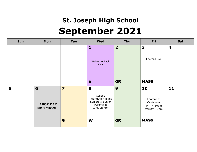## **St. Joseph High School September 2021**

| <b>Sun</b> | Mon                                       | <b>Tue</b>                   | <b>Wed</b>                                                                                 | Thu            | Fri                                                                            | Sat                     |
|------------|-------------------------------------------|------------------------------|--------------------------------------------------------------------------------------------|----------------|--------------------------------------------------------------------------------|-------------------------|
|            |                                           |                              | 1<br><b>Welcome Back</b><br>Rally                                                          | $\overline{2}$ | 3<br>Football Bye                                                              | $\overline{\mathbf{4}}$ |
|            |                                           |                              | R                                                                                          | <b>GR</b>      | <b>MASS</b>                                                                    |                         |
| 5          | 6<br><b>LABOR DAY</b><br><b>NO SCHOOL</b> | $\overline{\mathbf{z}}$<br>G | 8<br>College<br><b>Information Night</b><br>Seniors & Senior<br>Parents in<br>SJHS Library | 9<br><b>GR</b> | 10<br>Football at<br>Centennial<br>JV - 4:30pm<br>Varsity - 7pm<br><b>MASS</b> | 11                      |
|            |                                           |                              | W                                                                                          |                |                                                                                |                         |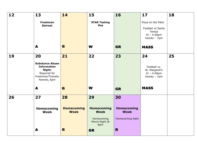| 12 | 13                                                                                                                | 14                                     | 15                                                                           | 16                                                                | 17                                                                                  | 18 |
|----|-------------------------------------------------------------------------------------------------------------------|----------------------------------------|------------------------------------------------------------------------------|-------------------------------------------------------------------|-------------------------------------------------------------------------------------|----|
|    | <b>Freshman</b><br><b>Retreat</b>                                                                                 |                                        | <b>STAR Testing</b><br><b>Day</b>                                            |                                                                   | Pizza on the Patio<br>Football vs Santa<br>Teresa<br>$JV - 4:00pm$<br>Varsity - 7pm |    |
|    | A                                                                                                                 | G                                      | W                                                                            | <b>GR</b>                                                         | <b>MASS</b>                                                                         |    |
| 19 | 20<br><b>Substance Abuse</b><br><b>Information</b><br>Night:<br>Required for<br>Freshmen/Transfer<br>Parents, 6pm | 21                                     | 22                                                                           | 23                                                                | 24<br>Football vs.<br>St. Margaret's<br>JV - 4:00pm<br>Varsity - 7pm                | 25 |
|    | A                                                                                                                 | G                                      | W                                                                            | <b>GR</b>                                                         | <b>MASS</b>                                                                         |    |
| 26 | 27<br>Homecoming<br>Week                                                                                          | 28<br><b>Homecoming</b><br><b>Week</b> | 29<br><b>Homecoming</b><br><b>Week</b><br>Homecoming<br>Movie Night @<br>8pm | 30<br><b>Homecoming</b><br><b>Week</b><br><b>Homecoming Rally</b> |                                                                                     |    |
|    | A                                                                                                                 | G                                      | <b>GR</b>                                                                    | R                                                                 |                                                                                     |    |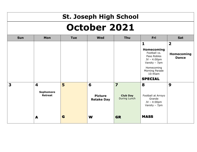|                     | <b>St. Joseph High School</b> |            |                                     |                                 |                                                                                                                                             |                            |  |  |
|---------------------|-------------------------------|------------|-------------------------------------|---------------------------------|---------------------------------------------------------------------------------------------------------------------------------------------|----------------------------|--|--|
| <b>October 2021</b> |                               |            |                                     |                                 |                                                                                                                                             |                            |  |  |
| <b>Sun</b>          | Mon                           | <b>Tue</b> | <b>Wed</b>                          | <b>Thu</b>                      | Fri                                                                                                                                         | <b>Sat</b>                 |  |  |
|                     |                               |            |                                     |                                 | 1                                                                                                                                           | $\overline{\mathbf{2}}$    |  |  |
|                     |                               |            |                                     |                                 | Homecoming<br>Football vs.<br>Paso Robles<br>$JV - 4:00pm$<br>Varsity - 7pm<br>Homecoming<br>Morning Parade<br>$10:45$ am<br><b>SPECIAL</b> | Homecoming<br><b>Dance</b> |  |  |
| 3                   | 4                             | 5          | 6                                   | $\overline{\mathbf{z}}$         | 8                                                                                                                                           | 9                          |  |  |
|                     | Sophomore<br><b>Retreat</b>   |            | <b>Picture</b><br><b>Retake Day</b> | <b>Club Day</b><br>During Lunch | Football at Arroyo<br>Grande<br>$JV - 4:00pm$<br>Varsity - 7pm                                                                              |                            |  |  |
|                     | A                             | G          | W                                   | <b>GR</b>                       | <b>MASS</b>                                                                                                                                 |                            |  |  |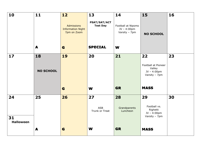| 10                     | 11               | 12                                                           | 13                              | 14                                                 | 15                                                            | 16 |
|------------------------|------------------|--------------------------------------------------------------|---------------------------------|----------------------------------------------------|---------------------------------------------------------------|----|
|                        |                  | <b>Admissions</b><br><b>Information Night</b><br>7pm on Zoom | PSAT/SAT/ACT<br><b>Test Day</b> | Football at Nipomo<br>JV - 4:00pm<br>Varsity - 7pm | <b>NO SCHOOL</b>                                              |    |
|                        | A                | G                                                            | <b>SPECIAL</b>                  | W                                                  |                                                               |    |
| 17                     | 18               | 19                                                           | 20                              | 21                                                 | 22                                                            | 23 |
|                        | <b>NO SCHOOL</b> |                                                              |                                 |                                                    | Football at Pioneer<br>Valley<br>JV - 4:00pm<br>Varsity - 7pm |    |
|                        |                  | G                                                            | W                               | <b>GR</b>                                          | <b>MASS</b>                                                   |    |
| 24                     | 25               | 26                                                           | 27                              | 28                                                 | 29                                                            | 30 |
|                        |                  |                                                              | <b>ASB</b><br>Trunk or Treat    | Grandparents<br>Luncheon                           | Football vs.<br>Righetti<br>JV - 4:00pm<br>Varsity - 7pm      |    |
| 31<br><b>Halloween</b> |                  |                                                              |                                 |                                                    |                                                               |    |
|                        | A                | G                                                            | W                               | <b>GR</b>                                          | <b>MASS</b>                                                   |    |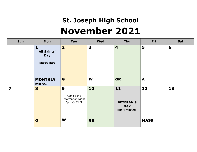#### **St. Joseph High School November 2021**

| Sun                     | Mon                                                                 | <b>Tue</b>                                                | <b>Wed</b> | Thu                                                        | Fri         | Sat |
|-------------------------|---------------------------------------------------------------------|-----------------------------------------------------------|------------|------------------------------------------------------------|-------------|-----|
|                         | $\mathbf{1}$<br><b>All Saints'</b><br><b>Day</b><br><b>Mass Day</b> | $\overline{\mathbf{2}}$                                   | 3          | $\overline{\mathbf{4}}$                                    | 5           | 6   |
|                         | <b>MONTHLY</b><br><b>MASS</b>                                       | G                                                         | W          | <b>GR</b>                                                  | A           |     |
| $\overline{\mathbf{z}}$ | 8                                                                   | 9<br>Admissions<br><b>Information Night</b><br>6pm @ SJHS | 10         | $11$<br><b>VETERAN'S</b><br><b>DAY</b><br><b>NO SCHOOL</b> | 12          | 13  |
|                         | G                                                                   | W                                                         | <b>GR</b>  |                                                            | <b>MASS</b> |     |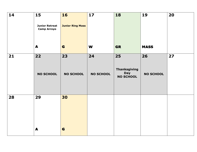| 14 | 15<br><b>Junior Retreat</b><br><b>Camp Arroyo</b> | 16<br><b>Junior Ring Mass</b> | $17$                   | $\overline{\mathbf{18}}$                                    | 19                     | 20 |
|----|---------------------------------------------------|-------------------------------|------------------------|-------------------------------------------------------------|------------------------|----|
|    | $\blacktriangle$                                  | G                             | W                      | <b>GR</b>                                                   | <b>MASS</b>            |    |
| 21 | 22<br><b>NO SCHOOL</b>                            | 23<br><b>NO SCHOOL</b>        | 24<br><b>NO SCHOOL</b> | 25<br><b>Thanksgiving</b><br><b>Day</b><br><b>NO SCHOOL</b> | 26<br><b>NO SCHOOL</b> | 27 |
| 28 | 29                                                | 30                            |                        |                                                             |                        |    |
|    | $\blacktriangle$                                  | G                             |                        |                                                             |                        |    |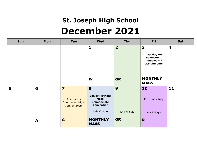#### **St. Joseph High School December 2021**

| <b>Sun</b> | Mon | <b>Tue</b>                                                                              | <b>Wed</b>                                                                     | Thu                       | Fri                                                         | Sat  |
|------------|-----|-----------------------------------------------------------------------------------------|--------------------------------------------------------------------------------|---------------------------|-------------------------------------------------------------|------|
|            |     |                                                                                         | $\mathbf{1}$                                                                   | $\overline{2}$            | 3<br>Last day for<br>Semester 1<br>homework/<br>assignments | 4    |
|            |     |                                                                                         | W                                                                              | <b>GR</b>                 | <b>MONTHLY</b><br><b>MASS</b>                               |      |
| 5          | 6   | $\overline{\mathbf{z}}$<br><b>Admissions</b><br><b>Information Night</b><br>7pm on Zoom | 8<br><b>Senior Mothers'</b><br>Mass,<br><b>Immaculate</b><br><b>Conception</b> | 9                         | 10<br>Christmas Rally                                       | $11$ |
|            | A   | G                                                                                       | Kris Kringle<br><b>MONTHLY</b><br><b>MASS</b>                                  | Kris Kringle<br><b>GR</b> | Kris Kringle<br>R                                           |      |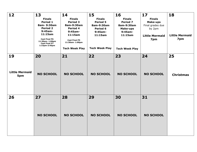| 12                           | 13                                                                                                                                                                      | 14                                                                                                                                              | 15                                                                                                          | 16                                                                                                                 | 17                                                                                             | 18                           |
|------------------------------|-------------------------------------------------------------------------------------------------------------------------------------------------------------------------|-------------------------------------------------------------------------------------------------------------------------------------------------|-------------------------------------------------------------------------------------------------------------|--------------------------------------------------------------------------------------------------------------------|------------------------------------------------------------------------------------------------|------------------------------|
|                              | <b>Finals</b><br>Period 1<br>8am- 9:30am<br><b>Period 2</b><br>$9:45am-$<br>11:15am<br><b>Cast Final P6</b><br>11:30am- 1:00pm<br><b>Cast Final P7</b><br>1:15pm-2:45pm | <b>Finals</b><br>Period 3<br>8am-9:30am<br>Period 4<br>$9:45am-$<br>11:15am<br><b>Cast Final P5</b><br>11:30am- 1:00pm<br><b>Tech Week Play</b> | <b>Finals</b><br><b>Period 5</b><br>8am-9:30am<br>Period 6<br>$9:45am-$<br>11:15am<br><b>Tech Week Play</b> | <b>Finals</b><br><b>Period 7</b><br>8am-9:30am<br><b>Make-ups</b><br>$9:45am-$<br>11:15am<br><b>Tech Week Play</b> | <b>Finals</b><br><b>Make-ups</b><br>Final grades due<br>by 2pm<br><b>Little Mermaid</b><br>7pm | <b>Little Mermaid</b><br>7pm |
| 19                           | 20                                                                                                                                                                      | 21                                                                                                                                              | 22                                                                                                          | 23                                                                                                                 | 24                                                                                             | 25                           |
| <b>Little Mermaid</b><br>5pm | <b>NO SCHOOL</b>                                                                                                                                                        | <b>NO SCHOOL</b>                                                                                                                                | <b>NO SCHOOL</b>                                                                                            | <b>NO SCHOOL</b>                                                                                                   | <b>NO SCHOOL</b>                                                                               | <b>Christmas</b>             |
| 26                           | 27                                                                                                                                                                      | 28                                                                                                                                              | 29                                                                                                          | 30                                                                                                                 | 31                                                                                             |                              |
|                              | <b>NO SCHOOL</b>                                                                                                                                                        | <b>NO SCHOOL</b>                                                                                                                                | <b>NO SCHOOL</b>                                                                                            | <b>NO SCHOOL</b>                                                                                                   | <b>NO SCHOOL</b>                                                                               |                              |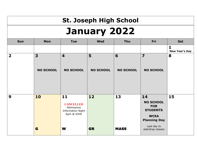## **St. Joseph High School January 2022**

| <b>Sun</b>              | Mon                                         | <b>Tue</b>                                                                          | <b>Wed</b>            | Thu                   | Fri                                                                                                                              | Sat                        |
|-------------------------|---------------------------------------------|-------------------------------------------------------------------------------------|-----------------------|-----------------------|----------------------------------------------------------------------------------------------------------------------------------|----------------------------|
|                         |                                             |                                                                                     |                       |                       |                                                                                                                                  | 1<br><b>New Year's Day</b> |
| $\overline{\mathbf{2}}$ | $\overline{\mathbf{3}}$<br><b>NO SCHOOL</b> | $\overline{\mathbf{4}}$<br><b>NO SCHOOL</b>                                         | 5<br><b>NO SCHOOL</b> | 6<br><b>NO SCHOOL</b> | $\overline{\mathbf{z}}$<br><b>NO SCHOOL</b>                                                                                      | 8                          |
| 9                       | 10<br>G                                     | 11<br><b>CANCELLED</b><br>Admissions<br><b>Information Night</b><br>6pm @ SJHS<br>W | 12<br><b>GR</b>       | 13<br><b>MASS</b>     | 14<br><b>NO SCHOOL</b><br><b>FOR</b><br><b>STUDENTS</b><br><b>WCEA</b><br><b>Planning Day</b><br>Last day to<br>add/drop classes | 15                         |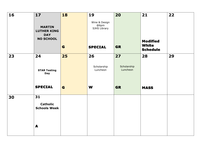| 16 | 17                                                                    | 18 | 19<br>Wine & Design<br>@6pm | 20                      | 21                                                 | 22 |
|----|-----------------------------------------------------------------------|----|-----------------------------|-------------------------|----------------------------------------------------|----|
|    | <b>MARTIN</b><br><b>LUTHER KING</b><br><b>DAY</b><br><b>NO SCHOOL</b> |    | SJHS Library                |                         |                                                    |    |
|    |                                                                       | G  | <b>SPECIAL</b>              | <b>GR</b>               | <b>Modified</b><br><b>White</b><br><b>Schedule</b> |    |
| 23 | 24                                                                    | 25 | 26                          | 27                      | 28                                                 | 29 |
|    | <b>STAR Testing</b><br><b>Day</b>                                     |    | Scholarship<br>Luncheon     | Scholarship<br>Luncheon |                                                    |    |
|    | <b>SPECIAL</b>                                                        | G  | W                           | <b>GR</b>               | <b>MASS</b>                                        |    |
| 30 | 31                                                                    |    |                             |                         |                                                    |    |
|    | <b>Catholic</b><br><b>Schools Week</b>                                |    |                             |                         |                                                    |    |
|    | A                                                                     |    |                             |                         |                                                    |    |
|    |                                                                       |    |                             |                         |                                                    |    |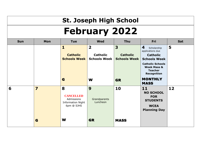## **St. Joseph High School February 2022**

| <b>Sun</b> | Mon                     | <b>Tue</b>                                                                    | <b>Wed</b>                                                        | Thu                                         | Fri                                                                                                                                                                         | Sat |
|------------|-------------------------|-------------------------------------------------------------------------------|-------------------------------------------------------------------|---------------------------------------------|-----------------------------------------------------------------------------------------------------------------------------------------------------------------------------|-----|
|            |                         | $\mathbf{1}$<br><b>Catholic</b><br><b>Schools Week</b>                        | $\overline{\mathbf{2}}$<br><b>Catholic</b><br><b>Schools Week</b> | 3<br><b>Catholic</b><br><b>Schools Week</b> | 4<br>Scholarship<br>applications due<br><b>Catholic</b><br><b>Schools Week</b><br><b>Catholic Schools</b><br><b>Week Mass &amp;</b><br><b>Teacher</b><br><b>Recognition</b> | 5   |
|            |                         | G                                                                             | W                                                                 | <b>GR</b>                                   | <b>MONTHLY</b><br><b>MASS</b>                                                                                                                                               |     |
| 6          | $\overline{\mathbf{z}}$ | 8<br><b>CANCELLED</b><br>Admissions<br><b>Information Night</b><br>6pm @ SJHS | 9<br>Grandparents<br>Luncheon                                     | 10                                          | 11<br><b>NO SCHOOL</b><br><b>FOR</b><br><b>STUDENTS</b><br><b>WCEA</b><br><b>Planning Day</b>                                                                               | 12  |
|            | G                       | W                                                                             | <b>GR</b>                                                         | <b>MASS</b>                                 |                                                                                                                                                                             |     |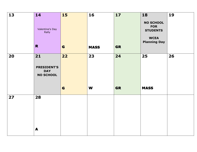| 13 | 14<br>Valentine's Day<br>Rally<br>$\mathbf R$              | 15<br>G | 16<br><b>MASS</b> | 17<br><b>GR</b> | 18<br><b>NO SCHOOL</b><br><b>FOR</b><br><b>STUDENTS</b><br><b>WCEA</b><br><b>Planning Day</b> | 19 |
|----|------------------------------------------------------------|---------|-------------------|-----------------|-----------------------------------------------------------------------------------------------|----|
| 20 | 21<br><b>PRESIDENT'S</b><br><b>DAY</b><br><b>NO SCHOOL</b> | 22<br>G | 23<br>W           | 24<br><b>GR</b> | 25<br><b>MASS</b>                                                                             | 26 |
| 27 | 28<br>$\blacktriangle$                                     |         |                   |                 |                                                                                               |    |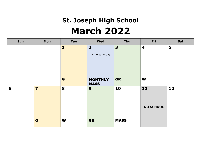### **St. Joseph High School March 2022**

| Sun | Mon                     | <b>Tue</b>   | Wed                     | Thu         | Fri                     | Sat  |
|-----|-------------------------|--------------|-------------------------|-------------|-------------------------|------|
|     |                         | $\mathbf{1}$ | $\overline{\mathbf{2}}$ | 3           | $\overline{\mathbf{4}}$ | 5    |
|     |                         |              | Ash Wednesday           |             |                         |      |
|     |                         |              |                         |             |                         |      |
|     |                         |              |                         |             |                         |      |
|     |                         |              |                         |             |                         |      |
|     |                         | G            | <b>MONTHLY</b>          | <b>GR</b>   | W                       |      |
|     |                         |              | <b>MASS</b>             |             |                         |      |
| 6   | $\overline{\mathbf{z}}$ | 8            | 9                       | 10          | 11                      | $12$ |
|     |                         |              |                         |             |                         |      |
|     |                         |              |                         |             |                         |      |
|     |                         |              |                         |             | <b>NO SCHOOL</b>        |      |
|     |                         |              |                         |             |                         |      |
|     | G                       | W            | <b>GR</b>               | <b>MASS</b> |                         |      |
|     |                         |              |                         |             |                         |      |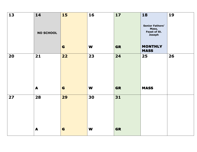| 13 | 14<br><b>NO SCHOOL</b> | 15      | 16      | 17              | 18<br><b>Senior Fathers'</b><br>Mass,<br>Feast of St.<br>Joseph | 19 |
|----|------------------------|---------|---------|-----------------|-----------------------------------------------------------------|----|
|    |                        | G       | W       | <b>GR</b>       | <b>MONTHLY</b><br><b>MASS</b>                                   |    |
| 20 | 21<br>$\blacktriangle$ | 22<br>G | 23<br>W | 24<br><b>GR</b> | 25<br><b>MASS</b>                                               | 26 |
| 27 | 28                     | 29      | 30      | 31              |                                                                 |    |
|    | A                      | G       | W       | <b>GR</b>       |                                                                 |    |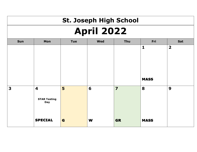## **St. Joseph High School April 2022**

| Sun | Mon                                                   | Tue | Wed | Thu                     | Fri                         | Sat                     |
|-----|-------------------------------------------------------|-----|-----|-------------------------|-----------------------------|-------------------------|
|     |                                                       |     |     |                         | $\mathbf{1}$<br><b>MASS</b> | $\overline{\mathbf{2}}$ |
| 3   | $\overline{\mathbf{4}}$<br><b>STAR Testing</b><br>Day | 5   | 6   | $\overline{\mathbf{z}}$ | 8                           | 9                       |
|     | <b>SPECIAL</b>                                        | G   | W   | <b>GR</b>               | <b>MASS</b>                 |                         |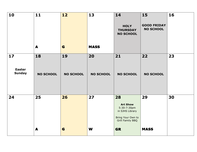| 10                                   | 11<br>A                | 12<br>G                | 13<br><b>MASS</b>      | 14<br><b>HOLY</b><br><b>THURSDAY</b><br><b>NO SCHOOL</b>                                                      | 15<br><b>GOOD FRIDAY</b><br><b>NO SCHOOL</b> | 16 |
|--------------------------------------|------------------------|------------------------|------------------------|---------------------------------------------------------------------------------------------------------------|----------------------------------------------|----|
| 17<br><b>Easter</b><br><b>Sunday</b> | 18<br><b>NO SCHOOL</b> | 19<br><b>NO SCHOOL</b> | 20<br><b>NO SCHOOL</b> | 21<br><b>NO SCHOOL</b>                                                                                        | 22<br><b>NO SCHOOL</b>                       | 23 |
| 24                                   | 25<br>A                | 26<br>G                | 27<br>W                | 28<br><b>Art Show</b><br>5:30-7:30pm<br>in SJHS Library<br>Bring Your Own to<br>Grill Family BBQ<br><b>GR</b> | 29<br><b>MASS</b>                            | 30 |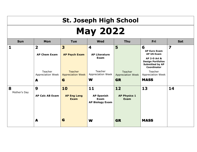# **St. Joseph High School May 2022**

| <b>Sun</b>        | Mon                                            | <b>Tue</b>                                 | <b>Wed</b>                                          | <b>Thu</b>                          | Fri                                                                                                 | Sat |
|-------------------|------------------------------------------------|--------------------------------------------|-----------------------------------------------------|-------------------------------------|-----------------------------------------------------------------------------------------------------|-----|
| 1                 | $\overline{\mathbf{2}}$<br><b>AP Chem Exam</b> | 3<br><b>AP Psych Exam</b>                  | 4<br><b>AP Literature</b>                           | 5                                   | 6<br><b>AP Euro Exam</b><br><b>AP US Exam</b>                                                       | 7   |
|                   |                                                |                                            | Exam                                                |                                     | <b>AP 2-D Art &amp;</b><br><b>Design Portfolios</b><br><b>Submitted by AP</b><br><b>Coordinator</b> |     |
|                   | Teacher<br>Appreciation Week                   | <b>Teacher</b><br><b>Appreciation Week</b> | Teacher<br>Appreciation Week                        | Teacher<br><b>Appreciation Week</b> | Teacher<br>Appreciation Week                                                                        |     |
|                   | A                                              | G                                          | W                                                   | <b>GR</b>                           | <b>MASS</b>                                                                                         |     |
| 8<br>Mother's Day | 9                                              | 10                                         | 11                                                  | 12                                  | 13                                                                                                  | 14  |
|                   | <b>AP Calc AB Exam</b>                         | <b>AP Eng Lang</b><br><b>Exam</b>          | <b>AP Spanish</b><br>Exam<br><b>AP Biology Exam</b> | <b>AP Physics 1</b><br><b>Exam</b>  |                                                                                                     |     |
|                   |                                                |                                            |                                                     |                                     |                                                                                                     |     |
|                   | A                                              | G                                          | W                                                   | <b>GR</b>                           | <b>MASS</b>                                                                                         |     |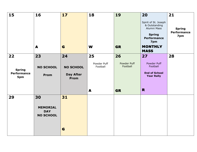| 15                                         | 16                                                      | 17                                           | 18                      | 19                      | 20                                                                                                 | 21                                         |
|--------------------------------------------|---------------------------------------------------------|----------------------------------------------|-------------------------|-------------------------|----------------------------------------------------------------------------------------------------|--------------------------------------------|
|                                            |                                                         |                                              |                         |                         | Spirit of St. Joseph<br>& Outstanding<br>Alumni Mass<br><b>Spring</b><br><b>Performance</b><br>7pm | <b>Spring</b><br><b>Performance</b><br>7pm |
|                                            | A                                                       | G                                            | W                       | <b>GR</b>               | <b>MONTHLY</b><br><b>MASS</b>                                                                      |                                            |
| 22                                         | 23                                                      | 24                                           | 25                      | 26                      | 27                                                                                                 | 28                                         |
| <b>Spring</b><br><b>Performance</b><br>5pm | <b>NO SCHOOL</b><br>Prom                                | <b>NO SCHOOL</b><br><b>Day After</b><br>Prom | Powder Puff<br>Football | Powder Puff<br>Football | Powder Puff<br>Football<br><b>End of School</b><br><b>Year Rally</b>                               |                                            |
|                                            |                                                         |                                              | A                       | <b>GR</b>               | R                                                                                                  |                                            |
| 29                                         | 30<br><b>MEMORIAL</b><br><b>DAY</b><br><b>NO SCHOOL</b> | 31                                           |                         |                         |                                                                                                    |                                            |
|                                            |                                                         | G                                            |                         |                         |                                                                                                    |                                            |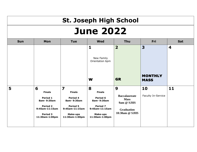# **St. Joseph High School June 2022**

| <b>Sun</b> | Mon                                                                                                             | <b>Tue</b>                                                                                                                     | <b>Wed</b>                                                                                                      | <b>Thu</b>                                                                                    | Fri                           | Sat |
|------------|-----------------------------------------------------------------------------------------------------------------|--------------------------------------------------------------------------------------------------------------------------------|-----------------------------------------------------------------------------------------------------------------|-----------------------------------------------------------------------------------------------|-------------------------------|-----|
|            |                                                                                                                 |                                                                                                                                | 1<br>New Family<br>Orientation 6pm                                                                              | $\overline{\mathbf{2}}$                                                                       | 3                             | 4   |
|            |                                                                                                                 |                                                                                                                                | W                                                                                                               | <b>GR</b>                                                                                     | <b>MONTHLY</b><br><b>MASS</b> |     |
| 5          | 6<br><b>Finals</b><br>Period 1<br>8am-9:30am<br><b>Period 2</b><br>9:45am-11:15am<br>Period 3<br>11:30am-1:00pm | $\overline{\mathbf{z}}$<br><b>Finals</b><br>Period 4<br>8am-9:30am<br>Period 5<br>9:45am-11:15am<br>Make-ups<br>11:30am-1:00pm | 8<br><b>Finals</b><br>Period 6<br>8am-9:30am<br>Period 7<br>9:45am-11:15am<br><b>Make-ups</b><br>11:30am-1:00pm | 9<br><b>Baccalaureate</b><br><b>Mass</b><br>9am @ SJHS<br><b>Graduation</b><br>10:30am @ SJHS | 10<br>Faculty In-Service      | 11  |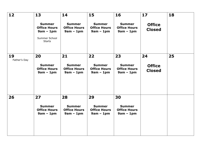| 12                 | 13                                                                   | 14                                                        | 15                                                        | 16                                                        | 17                             | 18 |
|--------------------|----------------------------------------------------------------------|-----------------------------------------------------------|-----------------------------------------------------------|-----------------------------------------------------------|--------------------------------|----|
|                    | <b>Summer</b><br><b>Office Hours</b><br>$9am - 1pm$<br>Summer School | <b>Summer</b><br><b>Office Hours</b><br>$9am - 1pm$       | <b>Summer</b><br><b>Office Hours</b><br>$9am - 1pm$       | <b>Summer</b><br><b>Office Hours</b><br>$9am - 1pm$       | <b>Office</b><br><b>Closed</b> |    |
|                    | <b>Starts</b>                                                        |                                                           |                                                           |                                                           |                                |    |
| 19<br>Father's Day | 20                                                                   | 21                                                        | 22                                                        | 23                                                        | 24                             | 25 |
|                    | <b>Summer</b><br><b>Office Hours</b><br>$9am - 1pm$                  | <b>Summer</b><br><b>Office Hours</b><br>$9am - 1pm$       | <b>Summer</b><br><b>Office Hours</b><br>$9am - 1pm$       | <b>Summer</b><br><b>Office Hours</b><br>$9am - 1pm$       | <b>Office</b><br><b>Closed</b> |    |
| 26                 | 27<br><b>Summer</b><br><b>Office Hours</b><br>$9am - 1pm$            | 28<br><b>Summer</b><br><b>Office Hours</b><br>$9am - 1pm$ | 29<br><b>Summer</b><br><b>Office Hours</b><br>$9am - 1pm$ | 30<br><b>Summer</b><br><b>Office Hours</b><br>$9am - 1pm$ |                                |    |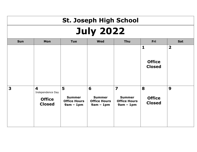# **St. Joseph High School July 2022**

| <b>Sun</b> | Mon                                                                           | <b>Tue</b>                                               | <b>Wed</b>                                               | Thu                                                                            | Fri                                            | Sat                     |
|------------|-------------------------------------------------------------------------------|----------------------------------------------------------|----------------------------------------------------------|--------------------------------------------------------------------------------|------------------------------------------------|-------------------------|
|            |                                                                               |                                                          |                                                          |                                                                                | $\mathbf{1}$<br><b>Office</b><br><b>Closed</b> | $\overline{\mathbf{2}}$ |
| 3          | $\overline{\mathbf{4}}$<br>Independence Day<br><b>Office</b><br><b>Closed</b> | 5<br><b>Summer</b><br><b>Office Hours</b><br>$9am - 1pm$ | 6<br><b>Summer</b><br><b>Office Hours</b><br>$9am - 1pm$ | $\overline{\mathbf{z}}$<br><b>Summer</b><br><b>Office Hours</b><br>$9am - 1pm$ | 8<br><b>Office</b><br><b>Closed</b>            | 9                       |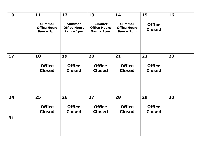| 10 | $11$                                                | 12                                                  | 13                                                  | 14                                                  | 15                             | 16 |
|----|-----------------------------------------------------|-----------------------------------------------------|-----------------------------------------------------|-----------------------------------------------------|--------------------------------|----|
|    | <b>Summer</b><br><b>Office Hours</b><br>$9am - 1pm$ | <b>Summer</b><br><b>Office Hours</b><br>$9am - 1pm$ | <b>Summer</b><br><b>Office Hours</b><br>$9am - 1pm$ | <b>Summer</b><br><b>Office Hours</b><br>$9am - 1pm$ | <b>Office</b><br><b>Closed</b> |    |
| 17 | 18                                                  | 19                                                  | 20                                                  | 21                                                  | 22                             | 23 |
|    | <b>Office</b><br><b>Closed</b>                      | <b>Office</b><br><b>Closed</b>                      | <b>Office</b><br><b>Closed</b>                      | <b>Office</b><br><b>Closed</b>                      | <b>Office</b><br><b>Closed</b> |    |
| 24 | 25                                                  | 26                                                  | 27                                                  | 28                                                  | 29                             | 30 |
|    | <b>Office</b><br><b>Closed</b>                      | <b>Office</b><br><b>Closed</b>                      | <b>Office</b><br><b>Closed</b>                      | <b>Office</b><br><b>Closed</b>                      | <b>Office</b><br><b>Closed</b> |    |
| 31 |                                                     |                                                     |                                                     |                                                     |                                |    |